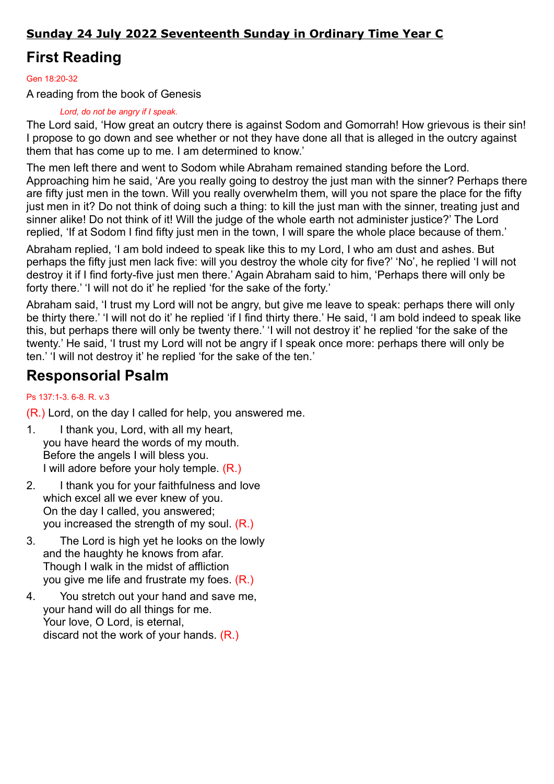# Sunday 24 July 2022 Seventeenth Sunday in Ordinary Time Year C

# First Reading

## Gen 18:20-32

A reading from the book of Genesis

## Lord, do not be angry if I speak.

The Lord said, 'How great an outcry there is against Sodom and Gomorrah! How grievous is their sin! I propose to go down and see whether or not they have done all that is alleged in the outcry against them that has come up to me. I am determined to know.'

The men left there and went to Sodom while Abraham remained standing before the Lord. Approaching him he said, 'Are you really going to destroy the just man with the sinner? Perhaps there are fifty just men in the town. Will you really overwhelm them, will you not spare the place for the fifty just men in it? Do not think of doing such a thing: to kill the just man with the sinner, treating just and sinner alike! Do not think of it! Will the judge of the whole earth not administer justice?' The Lord replied, 'If at Sodom I find fifty just men in the town, I will spare the whole place because of them.'

Abraham replied, 'I am bold indeed to speak like this to my Lord, I who am dust and ashes. But perhaps the fifty just men lack five: will you destroy the whole city for five?' 'No', he replied 'I will not destroy it if I find forty-five just men there.' Again Abraham said to him, 'Perhaps there will only be forty there.' 'I will not do it' he replied 'for the sake of the forty.'

Abraham said, 'I trust my Lord will not be angry, but give me leave to speak: perhaps there will only be thirty there.' 'I will not do it' he replied 'if I find thirty there.' He said, 'I am bold indeed to speak like this, but perhaps there will only be twenty there.' 'I will not destroy it' he replied 'for the sake of the twenty.' He said, 'I trust my Lord will not be angry if I speak once more: perhaps there will only be ten.' 'I will not destroy it' he replied 'for the sake of the ten.'

# Responsorial Psalm

## Ps 137:1-3. 6-8. R. v.3

(R.) Lord, on the day I called for help, you answered me.

- 1. I thank you, Lord, with all my heart, you have heard the words of my mouth. Before the angels I will bless you. I will adore before your holy temple. (R.)
- 2. I thank you for your faithfulness and love which excel all we ever knew of you. On the day I called, you answered; you increased the strength of my soul. (R.)
- 3. The Lord is high yet he looks on the lowly and the haughty he knows from afar. Though I walk in the midst of affliction you give me life and frustrate my foes. (R.)
- 4. You stretch out your hand and save me, your hand will do all things for me. Your love, O Lord, is eternal, discard not the work of your hands. (R.)